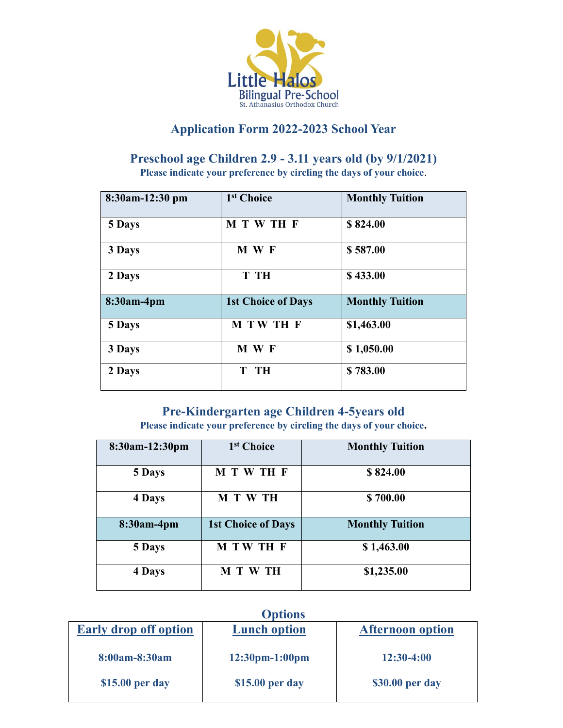

## **Application Form 2022-2023 School Year**

## **Preschool age Children 2.9 - 3.11 years old (by 9/1/2021)**

**Please indicate your preference by circling the days of your choice**.

| 8:30am-12:30 pm | 1 <sup>st</sup> Choice    | <b>Monthly Tuition</b> |  |
|-----------------|---------------------------|------------------------|--|
| 5 Days          | M T W TH F                | \$824.00               |  |
| 3 Days          | M W F                     | \$587.00               |  |
| 2 Days          | T TH                      | \$433.00               |  |
| 8:30am-4pm      | <b>1st Choice of Days</b> | <b>Monthly Tuition</b> |  |
| 5 Days          | M TW TH F                 | \$1,463.00             |  |
| 3 Days          | M W F                     | \$1,050.00             |  |
| 2 Days          | T TH                      | \$783.00               |  |

## **Pre-Kindergarten age Children 4-5years old**

**Please indicate your preference by circling the days of your choice.**

| 8:30am-12:30pm | 1 <sup>st</sup> Choice    | <b>Monthly Tuition</b> |  |
|----------------|---------------------------|------------------------|--|
| 5 Days         | M T W TH F                | \$824.00               |  |
| 4 Days         | M T W TH                  | \$700.00               |  |
| 8:30am-4pm     | <b>1st Choice of Days</b> | <b>Monthly Tuition</b> |  |
| 5 Days         | M TW TH F                 | \$1,463.00             |  |
| 4 Days         | <b>M T W TH</b>           | \$1,235.00             |  |

| <b>Options</b>               |                     |                         |  |  |  |
|------------------------------|---------------------|-------------------------|--|--|--|
| <b>Early drop off option</b> | <b>Lunch option</b> | <b>Afternoon</b> option |  |  |  |
| 8:00am-8:30am                | $12:30$ pm-1:00pm   | $12:30-4:00$            |  |  |  |
| \$15.00 per day              | \$15.00 per day     | \$30.00 per day         |  |  |  |